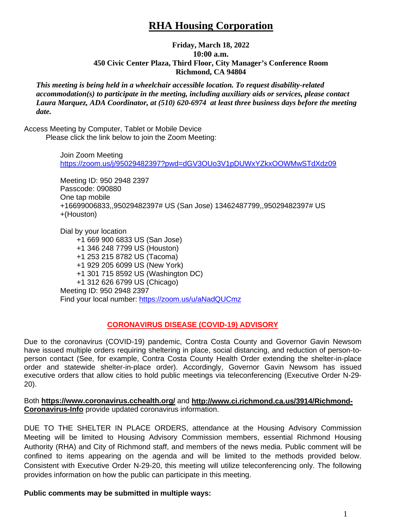# **RHA Housing Corporation**

### **Friday, March 18, 2022 10:00 a.m. 450 Civic Center Plaza, Third Floor, City Manager's Conference Room Richmond, CA 94804**

*This meeting is being held in a wheelchair accessible location. To request disability-related accommodation(s) to participate in the meeting, including auxiliary aids or services, please contact Laura Marquez, ADA Coordinator, at (510) 620-6974 at least three business days before the meeting date.*

Access Meeting by Computer, Tablet or Mobile Device Please click the link below to join the Zoom Meeting:

> Join Zoom Meeting <https://zoom.us/j/95029482397?pwd=dGV3OUo3V1pDUWxYZkxOOWMwSTdXdz09>

Meeting ID: 950 2948 2397 Passcode: 090880 One tap mobile +16699006833,,95029482397# US (San Jose) 13462487799,,95029482397# US +(Houston)

Dial by your location +1 669 900 6833 US (San Jose) +1 346 248 7799 US (Houston) +1 253 215 8782 US (Tacoma) +1 929 205 6099 US (New York) +1 301 715 8592 US (Washington DC) +1 312 626 6799 US (Chicago) Meeting ID: 950 2948 2397 Find your local number:<https://zoom.us/u/aNadQUCmz>

## **CORONAVIRUS DISEASE (COVID-19) ADVISORY**

Due to the coronavirus (COVID-19) pandemic, Contra Costa County and Governor Gavin Newsom have issued multiple orders requiring sheltering in place, social distancing, and reduction of person-toperson contact (See, for example, Contra Costa County Health Order extending the shelter-in-place order and statewide shelter-in-place order). Accordingly, Governor Gavin Newsom has issued executive orders that allow cities to hold public meetings via teleconferencing (Executive Order N-29- 20).

Both **<https://www.coronavirus.cchealth.org/>** and **[http://www.ci.richmond.ca.us/3914/Richmond-](http://www.ci.richmond.ca.us/3914/Richmond-Coronavirus-Info)[Coronavirus-Info](http://www.ci.richmond.ca.us/3914/Richmond-Coronavirus-Info)** provide updated coronavirus information.

DUE TO THE SHELTER IN PLACE ORDERS, attendance at the Housing Advisory Commission Meeting will be limited to Housing Advisory Commission members, essential Richmond Housing Authority (RHA) and City of Richmond staff, and members of the news media. Public comment will be confined to items appearing on the agenda and will be limited to the methods provided below. Consistent with Executive Order N-29-20, this meeting will utilize teleconferencing only. The following provides information on how the public can participate in this meeting.

**Public comments may be submitted in multiple ways:**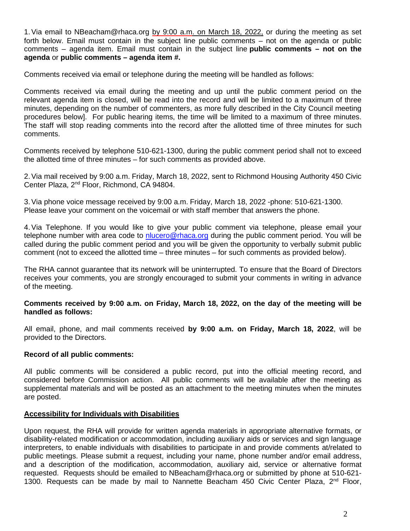1. Via email to NBeacham@rhaca.org by 9:00 a.m. on March 18, 2022, or during the meeting as set forth below. Email must contain in the subject line public comments – not on the agenda or public comments – agenda item. Email must contain in the subject line **public comments – not on the agenda** or **public comments – agenda item #.**

Comments received via email or telephone during the meeting will be handled as follows:

Comments received via email during the meeting and up until the public comment period on the relevant agenda item is closed, will be read into the record and will be limited to a maximum of three minutes, depending on the number of commenters, as more fully described in the City Council meeting procedures below]. For public hearing items, the time will be limited to a maximum of three minutes. The staff will stop reading comments into the record after the allotted time of three minutes for such comments.

Comments received by telephone 510-621-1300, during the public comment period shall not to exceed the allotted time of three minutes – for such comments as provided above.

2.Via mail received by 9:00 a.m. Friday, March 18, 2022, sent to Richmond Housing Authority 450 Civic Center Plaza, 2nd Floor, Richmond, CA 94804.

3.Via phone voice message received by 9:00 a.m. Friday, March 18, 2022 -phone: 510-621-1300. Please leave your comment on the voicemail or with staff member that answers the phone.

4.Via Telephone. If you would like to give your public comment via telephone, please email your telephone number with area code to [nlucero@rhaca.org](mailto:nlucero@rhaca.org) during the public comment period. You will be called during the public comment period and you will be given the opportunity to verbally submit public comment (not to exceed the allotted time – three minutes – for such comments as provided below).

The RHA cannot guarantee that its network will be uninterrupted. To ensure that the Board of Directors receives your comments, you are strongly encouraged to submit your comments in writing in advance of the meeting.

#### **Comments received by 9:00 a.m. on Friday, March 18, 2022, on the day of the meeting will be handled as follows:**

All email, phone, and mail comments received **by 9:00 a.m. on Friday, March 18, 2022**, will be provided to the Directors.

#### **Record of all public comments:**

All public comments will be considered a public record, put into the official meeting record, and considered before Commission action. All public comments will be available after the meeting as supplemental materials and will be posted as an attachment to the meeting minutes when the minutes are posted.

#### **Accessibility for Individuals with Disabilities**

Upon request, the RHA will provide for written agenda materials in appropriate alternative formats, or disability-related modification or accommodation, including auxiliary aids or services and sign language interpreters, to enable individuals with disabilities to participate in and provide comments at/related to public meetings. Please submit a request, including your name, phone number and/or email address, and a description of the modification, accommodation, auxiliary aid, service or alternative format requested. Requests should be emailed to NBeacham@rhaca.org or submitted by phone at 510-621- 1300. Requests can be made by mail to Nannette Beacham 450 Civic Center Plaza,  $2^{nd}$  Floor,